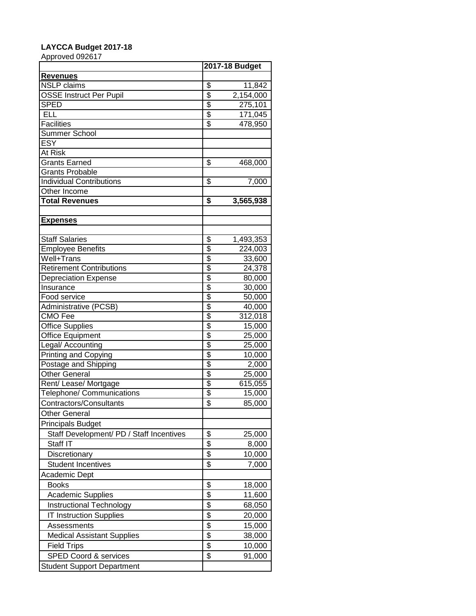## **LAYCCA Budget 2017-18**

Approved 092617

|                                          |                                  | 2017-18 Budget |  |
|------------------------------------------|----------------------------------|----------------|--|
| <b>Revenues</b>                          |                                  |                |  |
| <b>NSLP</b> claims                       | $\overline{\mathcal{S}}$         | 11,842         |  |
| <b>OSSE Instruct Per Pupil</b>           | \$                               | 2,154,000      |  |
| <b>SPED</b>                              | $\overline{\$}$                  | 275,101        |  |
| <b>ELL</b>                               | \$                               | 171,045        |  |
| <b>Facilities</b>                        | $\overline{\boldsymbol{\theta}}$ | 478,950        |  |
| Summer School                            |                                  |                |  |
| <b>ESY</b>                               |                                  |                |  |
| At Risk                                  |                                  |                |  |
| <b>Grants Earned</b>                     | \$                               | 468,000        |  |
| <b>Grants Probable</b>                   |                                  |                |  |
| <b>Individual Contributions</b>          | \$                               | 7,000          |  |
| Other Income                             |                                  |                |  |
| <b>Total Revenues</b>                    | \$                               | 3,565,938      |  |
|                                          |                                  |                |  |
| <b>Expenses</b>                          |                                  |                |  |
|                                          |                                  |                |  |
| <b>Staff Salaries</b>                    | \$                               | 1,493,353      |  |
| <b>Employee Benefits</b>                 | $\overline{\$}$                  | 224,003        |  |
| Well+Trans                               | $\overline{\mathcal{S}}$         | 33,600         |  |
| <b>Retirement Contributions</b>          | $\overline{\$}$                  | 24,378         |  |
| <b>Depreciation Expense</b>              | \$                               | 80,000         |  |
| Insurance                                | \$                               | 30,000         |  |
| Food service                             | \$                               | 50,000         |  |
| Administrative (PCSB)                    | \$                               | 40,000         |  |
| CMO Fee                                  | $\overline{\mathcal{S}}$         | 312,018        |  |
| <b>Office Supplies</b>                   | \$                               | 15,000         |  |
| <b>Office Equipment</b>                  | \$                               | 25,000         |  |
| Legal/ Accounting                        | \$                               | 25,000         |  |
| <b>Printing and Copying</b>              | \$                               | 10,000         |  |
| Postage and Shipping                     | \$                               | 2,000          |  |
| Other General                            | \$                               | 25,000         |  |
| Rent/ Lease/ Mortgage                    | \$                               | 615,055        |  |
| <b>Telephone/ Communications</b>         | \$                               | 15,000         |  |
| Contractors/Consultants                  | \$                               | 85,000         |  |
| <b>Other General</b>                     |                                  |                |  |
| <b>Principals Budget</b>                 |                                  |                |  |
| Staff Development/ PD / Staff Incentives | \$                               | 25,000         |  |
| Staff IT                                 | \$                               |                |  |
|                                          |                                  | 8,000          |  |
| Discretionary                            | \$                               | 10,000         |  |
| <b>Student Incentives</b>                | \$                               | 7,000          |  |
| Academic Dept                            |                                  |                |  |
| <b>Books</b>                             | \$                               | 18,000         |  |
| Academic Supplies                        | \$                               | 11,600         |  |
| Instructional Technology                 | \$                               | 68,050         |  |
| <b>IT Instruction Supplies</b>           | \$                               | 20,000         |  |
| Assessments                              | \$                               | 15,000         |  |
| <b>Medical Assistant Supplies</b>        | $\frac{1}{2}$                    | 38,000         |  |
| <b>Field Trips</b>                       | $\overline{\mathcal{S}}$         | 10,000         |  |
| <b>SPED Coord &amp; services</b>         | \$                               | 91,000         |  |
| <b>Student Support Department</b>        |                                  |                |  |